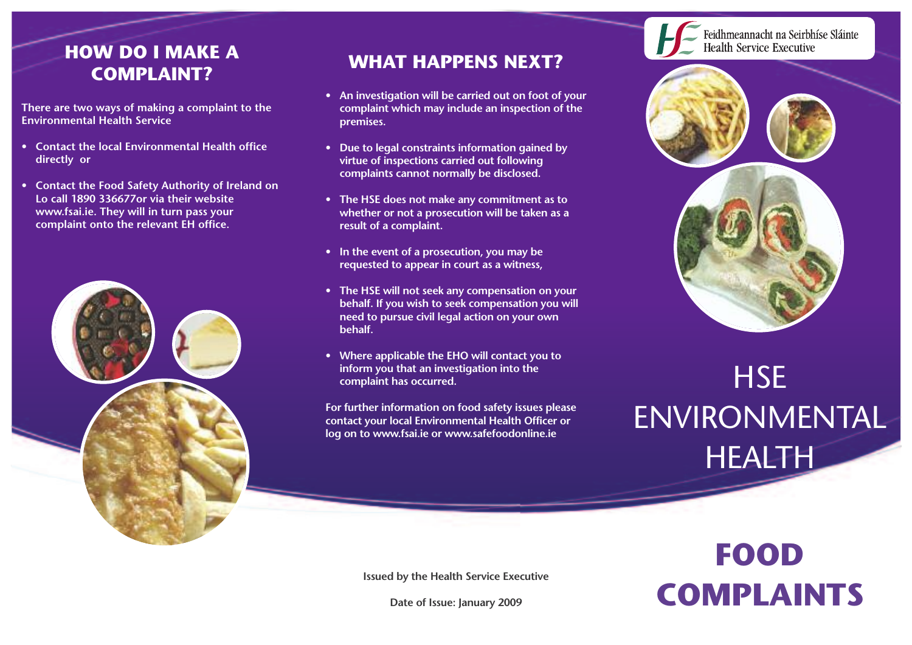#### **HOW DO I MAKE A COMPLAINT?**

**There are two ways of making a complaint to the Environmental Health Service**

- **• Contact the local Environmental Health office directly or**
- **• Contact the Food Safety Authority of Ireland on Lo call 1890 336677or via their website www.fsai.ie. They will in turn pass your complaint onto the relevant EH office.**



#### **WHAT HAPPENS NEXT?**

- **• An investigation will be carried out on foot of your complaint which may include an inspection of the premises.**
- **• Due to legal constraints information gained by virtue of inspections carried out following complaints cannot normally be disclosed.**
- **• The HSE does not make any commitment as to whether or not a prosecution will be taken as a result of a complaint.**
- **• In the event of a prosecution, you may be requested to appear in court as a witness,**
- **• The HSE will not seek any compensation on your behalf. If you wish to seek compensation you will need to pursue civil legal action on your own behalf.**
- **• Where applicable the EHO will contact you to inform you that an investigation into the complaint has occurred.**

**For further information on food safety issues please contact your local Environmental Health Officer or log on to www.fsai.ie or www.safefoodonline.ie**



Feidhmeannacht na Seirbhíse Sláinte **Health Service Executive** 



# **HSE** ENVIRONMENTAL **HEALTH**

## **FOOD COMPLAINTS**

**Issued by the Health Service Executive**

**Date of Issue: January 2009**